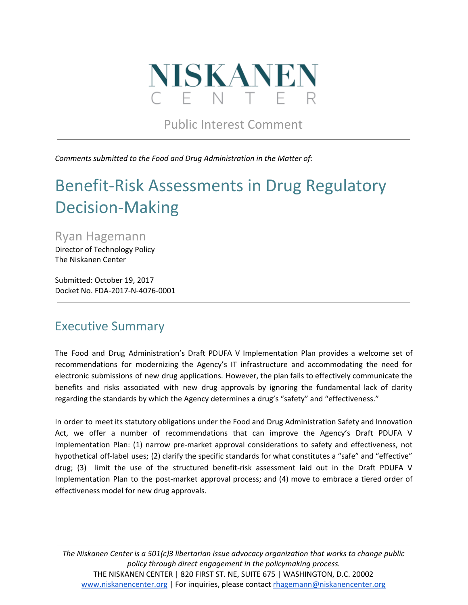

Public Interest Comment

*Comments submitted to the Food and Drug Administration in the Matter of:*

# Benefit-Risk Assessments in Drug Regulatory Decision-Making

Ryan Hagemann Director of Technology Policy The Niskanen Center

Submitted: October 19, 2017 Docket No. FDA-2017-N-4076-0001

### Executive Summary

The Food and Drug Administration's Draft PDUFA V Implementation Plan provides a welcome set of recommendations for modernizing the Agency's IT infrastructure and accommodating the need for electronic submissions of new drug applications. However, the plan fails to effectively communicate the benefits and risks associated with new drug approvals by ignoring the fundamental lack of clarity regarding the standards by which the Agency determines a drug's "safety" and "effectiveness."

In order to meet its statutory obligations under the Food and Drug Administration Safety and Innovation Act, we offer a number of recommendations that can improve the Agency's Draft PDUFA V Implementation Plan: (1) narrow pre-market approval considerations to safety and effectiveness, not hypothetical off-label uses; (2) clarify the specific standards for what constitutes a "safe" and "effective" drug; (3) limit the use of the structured benefit-risk assessment laid out in the Draft PDUFA V Implementation Plan to the post-market approval process; and (4) move to embrace a tiered order of effectiveness model for new drug approvals.

*The Niskanen Center is a 501(c)3 libertarian issue advocacy organization that works to change public policy through direct engagement in the policymaking process.* THE NISKANEN CENTER | 820 FIRST ST. NE, SUITE 675 | WASHINGTON, D.C. 20002 [www.niskanencenter.org](http://www.niskanencenter.org/) | For inquiries, please contact [rhagemann@niskanencenter.org](mailto:rhagemann@niskanencenter.org)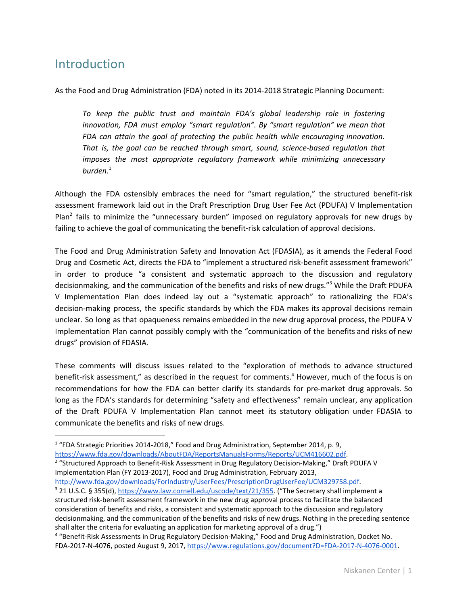### **Introduction**

As the Food and Drug Administration (FDA) noted in its 2014-2018 Strategic Planning Document:

*To keep the public trust and maintain FDA's global leadership role in fostering innovation, FDA must employ "smart regulation". By "smart regulation" we mean that FDA can attain the goal of protecting the public health while encouraging innovation. That is, the goal can be reached through smart, sound, science-based regulation that imposes the most appropriate regulatory framework while minimizing unnecessary burden.* 1

Although the FDA ostensibly embraces the need for "smart regulation," the structured benefit-risk assessment framework laid out in the Draft Prescription Drug User Fee Act (PDUFA) V Implementation Plan<sup>2</sup> fails to minimize the "unnecessary burden" imposed on regulatory approvals for new drugs by failing to achieve the goal of communicating the benefit-risk calculation of approval decisions.

The Food and Drug Administration Safety and Innovation Act (FDASIA), as it amends the Federal Food Drug and Cosmetic Act, directs the FDA to "implement a structured risk-benefit assessment framework" in order to produce "a consistent and systematic approach to the discussion and regulatory decisionmaking, and the communication of the benefits and risks of new drugs."<sup>3</sup> While the Draft PDUFA V Implementation Plan does indeed lay out a "systematic approach" to rationalizing the FDA's decision-making process, the specific standards by which the FDA makes its approval decisions remain unclear. So long as that opaqueness remains embedded in the new drug approval process, the PDUFA V Implementation Plan cannot possibly comply with the "communication of the benefits and risks of new drugs" provision of FDASIA.

These comments will discuss issues related to the "exploration of methods to advance structured benefit-risk assessment," as described in the request for comments.<sup>4</sup> However, much of the focus is on recommendations for how the FDA can better clarify its standards for pre-market drug approvals. So long as the FDA's standards for determining "safety and effectiveness" remain unclear, any application of the Draft PDUFA V Implementation Plan cannot meet its statutory obligation under FDASIA to communicate the benefits and risks of new drugs.

[https://www.fda.gov/downloads/AboutFDA/ReportsManualsForms/Reports/UCM416602.pdf.](https://www.fda.gov/downloads/AboutFDA/ReportsManualsForms/Reports/UCM416602.pdf) <sup>2</sup> "Structured Approach to Benefit-Risk Assessment in Drug Regulatory Decision-Making," Draft PDUFA V Implementation Plan (FY 2013-2017), Food and Drug Administration, February 2013,

<http://www.fda.gov/downloads/ForIndustry/UserFees/PrescriptionDrugUserFee/UCM329758.pdf>.

<sup>&</sup>lt;sup>1</sup> "FDA Strategic Priorities 2014-2018," Food and Drug Administration, September 2014, p. 9,

<sup>&</sup>lt;sup>3</sup> 21 U.S.C. § 355(d), <https://www.law.cornell.edu/uscode/text/21/355>. ("The Secretary shall implement a structured risk-benefit assessment framework in the new drug approval process to facilitate the balanced consideration of benefits and risks, a consistent and systematic approach to the discussion and regulatory decisionmaking, and the communication of the benefits and risks of new drugs. Nothing in the preceding sentence shall alter the criteria for evaluating an application for marketing approval of a drug.")

<sup>4</sup> "Benefit-Risk Assessments in Drug Regulatory Decision-Making," Food and Drug Administration, Docket No. FDA-2017-N-4076, posted August 9, 2017, <https://www.regulations.gov/document?D=FDA-2017-N-4076-0001>.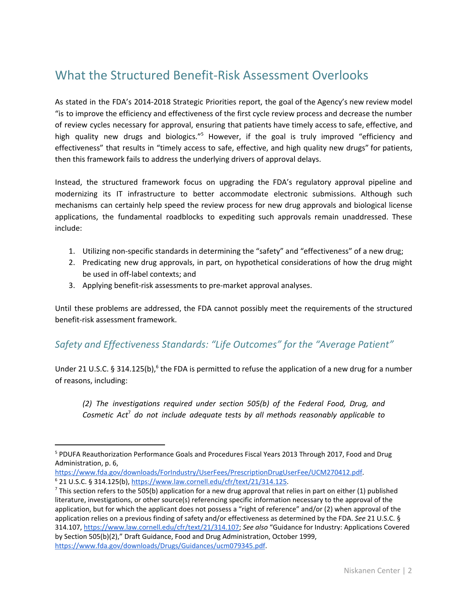## What the Structured Benefit-Risk Assessment Overlooks

As stated in the FDA's 2014-2018 Strategic Priorities report, the goal of the Agency's new review model "is to improve the efficiency and effectiveness of the first cycle review process and decrease the number of review cycles necessary for approval, ensuring that patients have timely access to safe, effective, and high quality new drugs and biologics."<sup>5</sup> However, if the goal is truly improved "efficiency and effectiveness" that results in "timely access to safe, effective, and high quality new drugs" for patients, then this framework fails to address the underlying drivers of approval delays.

Instead, the structured framework focus on upgrading the FDA's regulatory approval pipeline and modernizing its IT infrastructure to better accommodate electronic submissions. Although such mechanisms can certainly help speed the review process for new drug approvals and biological license applications, the fundamental roadblocks to expediting such approvals remain unaddressed. These include:

- 1. Utilizing non-specific standards in determining the "safety" and "effectiveness" of a new drug;
- 2. Predicating new drug approvals, in part, on hypothetical considerations of how the drug might be used in off-label contexts; and
- 3. Applying benefit-risk assessments to pre-market approval analyses.

Until these problems are addressed, the FDA cannot possibly meet the requirements of the structured benefit-risk assessment framework.

#### *Safety and Effectiveness Standards: "Life Outcomes" for the "Average Patient"*

Under 21 U.S.C. § 314.125(b),  $6$  the FDA is permitted to refuse the application of a new drug for a number of reasons, including:

*(2) The investigations required under section 505(b) of the Federal Food, Drug, and Cosmetic Act do not include adequate tests by all methods reasonably applicable to* 7

<sup>&</sup>lt;sup>5</sup> PDUFA Reauthorization Performance Goals and Procedures Fiscal Years 2013 Through 2017, Food and Drug Administration, p. 6,

<https://www.fda.gov/downloads/ForIndustry/UserFees/PrescriptionDrugUserFee/UCM270412.pdf>. <sup>6</sup> 21 U.S.C. § 314.125(b), <https://www.law.cornell.edu/cfr/text/21/314.125>.

 $^7$  This section refers to the 505(b) application for a new drug approval that relies in part on either (1) published literature, investigations, or other source(s) referencing specific information necessary to the approval of the application, but for which the applicant does not possess a "right of reference" and/or (2) when approval of the application relies on a previous finding of safety and/or effectiveness as determined by the FDA. *See* 21 U.S.C. § 314.107, [https://www.law.cornell.edu/cfr/text/21/314.107;](https://www.law.cornell.edu/cfr/text/21/314.107) *See also* "Guidance for Industry: Applications Covered by Section 505(b)(2)," Draft Guidance, Food and Drug Administration, October 1999, <https://www.fda.gov/downloads/Drugs/Guidances/ucm079345.pdf>.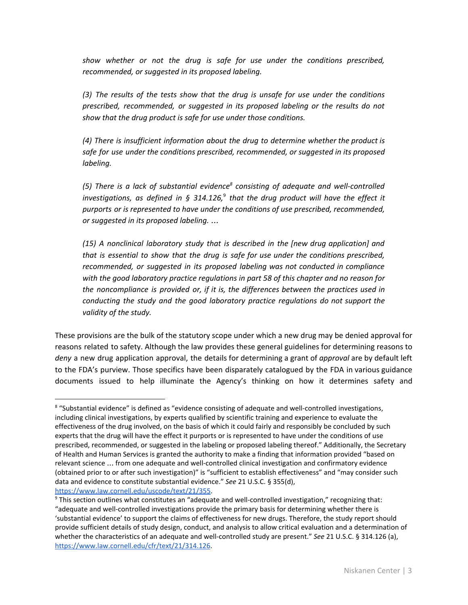*show whether or not the drug is safe for use under the conditions prescribed, recommended, or suggested in its proposed labeling.*

*(3) The results of the tests show that the drug is unsafe for use under the conditions prescribed, recommended, or suggested in its proposed labeling or the results do not show that the drug product is safe for use under those conditions.*

*(4) There is insufficient information about the drug to determine whether the product is safe for use under the conditions prescribed, recommended, or suggested in its proposed labeling.*

*(5) There is a lack of substantial evidence consisting of adequate and well-controlled 8 investigations, as defined in § 314.126, that the drug product will have the effect it* 9 *purports or is represented to have under the conditions of use prescribed, recommended, or suggested in its proposed labeling.* …

*(15) A nonclinical laboratory study that is described in the [new drug application] and that is essential to show that the drug is safe for use under the conditions prescribed, recommended, or suggested in its proposed labeling was not conducted in compliance with the good laboratory practice regulations in part 58 of this chapter and no reason for the noncompliance is provided or, if it is, the differences between the practices used in conducting the study and the good laboratory practice regulations do not support the validity of the study.*

These provisions are the bulk of the statutory scope under which a new drug may be denied approval for reasons related to safety. Although the law provides these general guidelines for determining reasons to *deny* a new drug application approval, the details for determining a grant of *approval* are by default left to the FDA's purview. Those specifics have been disparately catalogued by the FDA in various guidance documents issued to help illuminate the Agency's thinking on how it determines safety and

<sup>8</sup> "Substantial evidence" is defined as "evidence consisting of adequate and well-controlled investigations, including clinical investigations, by experts qualified by scientific training and experience to evaluate the effectiveness of the drug involved, on the basis of which it could fairly and responsibly be concluded by such experts that the drug will have the effect it purports or is represented to have under the conditions of use prescribed, recommended, or suggested in the labeling or proposed labeling thereof." Additionally, the Secretary of Health and Human Services is granted the authority to make a finding that information provided "based on relevant science … from one adequate and well-controlled clinical investigation and confirmatory evidence (obtained prior to or after such investigation)" is "sufficient to establish effectiveness" and "may consider such data and evidence to constitute substantial evidence." *See* 21 U.S.C. § 355(d), [https://www.law.cornell.edu/uscode/text/21/355.](https://www.law.cornell.edu/uscode/text/21/355)

<sup>9</sup> This section outlines what constitutes an "adequate and well-controlled investigation," recognizing that: "adequate and well-controlled investigations provide the primary basis for determining whether there is 'substantial evidence' to support the claims of effectiveness for new drugs. Therefore, the study report should provide sufficient details of study design, conduct, and analysis to allow critical evaluation and a determination of whether the characteristics of an adequate and well-controlled study are present." *See* 21 U.S.C. § 314.126 (a), <https://www.law.cornell.edu/cfr/text/21/314.126>.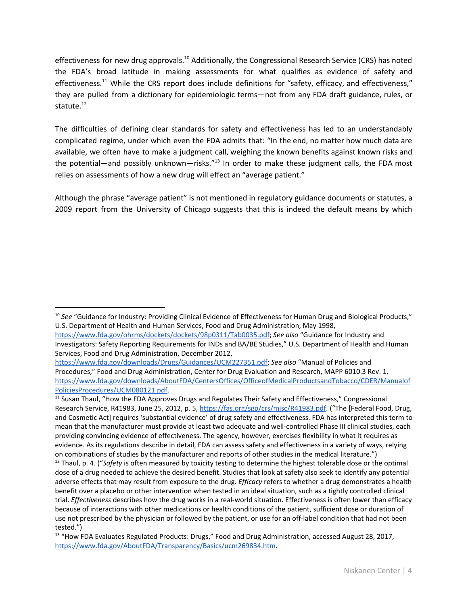effectiveness for new drug approvals.<sup>10</sup> Additionally, the Congressional Research Service (CRS) has noted the FDA's broad latitude in making assessments for what qualifies as evidence of safety and effectiveness.<sup>11</sup> While the CRS report does include definitions for "safety, efficacy, and effectiveness," they are pulled from a dictionary for epidemiologic terms—not from any FDA draft guidance, rules, or statute. 12

The difficulties of defining clear standards for safety and effectiveness has led to an understandably complicated regime, under which even the FDA admits that: "In the end, no matter how much data are available, we often have to make a judgment call, weighing the known benefits against known risks and the potential—and possibly unknown—risks."<sup>13</sup> In order to make these judgment calls, the FDA most relies on assessments of how a new drug will effect an "average patient."

Although the phrase "average patient" is not mentioned in regulatory guidance documents or statutes, a 2009 report from the University of Chicago suggests that this is indeed the default means by which

<sup>&</sup>lt;sup>10</sup> See "Guidance for Industry: Providing Clinical Evidence of Effectiveness for Human Drug and Biological Products," U.S. Department of Health and Human Services, Food and Drug Administration, May 1998,

<https://www.fda.gov/ohrms/dockets/dockets/98p0311/Tab0035.pdf>; *See also* "Guidance for Industry and Investigators: Safety Reporting Requirements for INDs and BA/BE Studies," U.S. Department of Health and Human Services, Food and Drug Administration, December 2012,

[https://www.fda.gov/downloads/Drugs/Guidances/UCM227351.pdf;](https://www.fda.gov/downloads/Drugs/Guidances/UCM227351.pdf) *See also* "Manual of Policies and Procedures," Food and Drug Administration, Center for Drug Evaluation and Research, MAPP 6010.3 Rev. 1, [https://www.fda.gov/downloads/AboutFDA/CentersOffices/OfficeofMedicalProductsandTobacco/CDER/Manualof](https://www.fda.gov/downloads/AboutFDA/CentersOffices/OfficeofMedicalProductsandTobacco/CDER/ManualofPoliciesProcedures/UCM080121.pdf) [PoliciesProcedures/UCM080121.pdf](https://www.fda.gov/downloads/AboutFDA/CentersOffices/OfficeofMedicalProductsandTobacco/CDER/ManualofPoliciesProcedures/UCM080121.pdf).

<sup>&</sup>lt;sup>11</sup> Susan Thaul, "How the FDA Approves Drugs and Regulates Their Safety and Effectiveness," Congressional Research Service, R41983, June 25, 2012, p. 5, [https://fas.org/sgp/crs/misc/R41983.pdf.](https://fas.org/sgp/crs/misc/R41983.pdf) ("The [Federal Food, Drug, and Cosmetic Act] requires 'substantial evidence' of drug safety and effectiveness. FDA has interpreted this term to mean that the manufacturer must provide at least two adequate and well-controlled Phase III clinical studies, each providing convincing evidence of effectiveness. The agency, however, exercises flexibility in what it requires as evidence. As its regulations describe in detail, FDA can assess safety and effectiveness in a variety of ways, relying on combinations of studies by the manufacturer and reports of other studies in the medical literature.")

<sup>&</sup>lt;sup>12</sup> Thaul, p. 4. ("Safety is often measured by toxicity testing to determine the highest tolerable dose or the optimal dose of a drug needed to achieve the desired benefit. Studies that look at safety also seek to identify any potential adverse effects that may result from exposure to the drug. *Efficacy* refers to whether a drug demonstrates a health benefit over a placebo or other intervention when tested in an ideal situation, such as a tightly controlled clinical trial. *Effectiveness* describes how the drug works in a real-world situation. Effectiveness is often lower than efficacy because of interactions with other medications or health conditions of the patient, sufficient dose or duration of use not prescribed by the physician or followed by the patient, or use for an off-label condition that had not been tested.")

<sup>&</sup>lt;sup>13</sup> "How FDA Evaluates Regulated Products: Drugs," Food and Drug Administration, accessed August 28, 2017, [https://www.fda.gov/AboutFDA/Transparency/Basics/ucm269834.htm.](https://www.fda.gov/AboutFDA/Transparency/Basics/ucm269834.htm)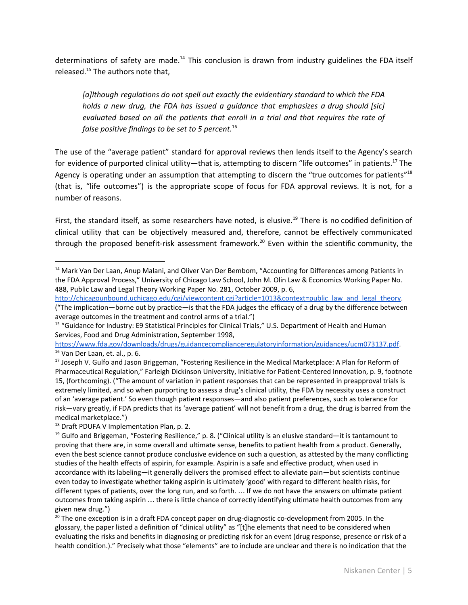determinations of safety are made. $^{14}$  This conclusion is drawn from industry guidelines the FDA itself released.<sup>15</sup> The authors note that,

*[a]lthough regulations do not spell out exactly the evidentiary standard to which the FDA holds a new drug, the FDA has issued a guidance that emphasizes a drug should [sic] evaluated based on all the patients that enroll in a trial and that requires the rate of false positive findings to be set to 5 percent.* 16

The use of the "average patient" standard for approval reviews then lends itself to the Agency's search for evidence of purported clinical utility—that is, attempting to discern "life outcomes" in patients.<sup>17</sup> The Agency is operating under an assumption that attempting to discern the "true outcomes for patients"<sup>18</sup> (that is, "life outcomes") is the appropriate scope of focus for FDA approval reviews. It is not, for a number of reasons.

First, the standard itself, as some researchers have noted, is elusive.<sup>19</sup> There is no codified definition of clinical utility that can be objectively measured and, therefore, cannot be effectively communicated through the proposed benefit-risk assessment framework.<sup>20</sup> Even within the scientific community, the

[http://chicagounbound.uchicago.edu/cgi/viewcontent.cgi?article=1013&context=public\\_law\\_and\\_legal\\_theory.](http://chicagounbound.uchicago.edu/cgi/viewcontent.cgi?article=1013&context=public_law_and_legal_theory) ("The implication—borne out by practice—is that the FDA judges the efficacy of a drug by the difference between average outcomes in the treatment and control arms of a trial.")

<https://www.fda.gov/downloads/drugs/guidancecomplianceregulatoryinformation/guidances/ucm073137.pdf>. <sup>16</sup> Van Der Laan, et. al., p. 6.

<sup>17</sup> Joseph V. Gulfo and Jason Briggeman, "Fostering Resilience in the Medical Marketplace: A Plan for Reform of Pharmaceutical Regulation," Farleigh Dickinson University, Initiative for Patient-Centered Innovation, p. 9, footnote 15, (forthcoming). ("The amount of variation in patient responses that can be represented in preapproval trials is extremely limited, and so when purporting to assess a drug's clinical utility, the FDA by necessity uses a construct of an 'average patient.' So even though patient responses—and also patient preferences, such as tolerance for risk—vary greatly, if FDA predicts that its 'average patient' will not benefit from a drug, the drug is barred from the medical marketplace.")

 $20$  The one exception is in a draft FDA concept paper on drug-diagnostic co-development from 2005. In the glossary, the paper listed a definition of "clinical utility" as "[t]he elements that need to be considered when evaluating the risks and benefits in diagnosing or predicting risk for an event (drug response, presence or risk of a health condition.)." Precisely what those "elements" are to include are unclear and there is no indication that the

<sup>&</sup>lt;sup>14</sup> Mark Van Der Laan, Anup Malani, and Oliver Van Der Bembom, "Accounting for Differences among Patients in the FDA Approval Process," University of Chicago Law School, John M. Olin Law & Economics Working Paper No. 488, Public Law and Legal Theory Working Paper No. 281, October 2009, p. 6,

<sup>&</sup>lt;sup>15</sup> "Guidance for Industry: E9 Statistical Principles for Clinical Trials," U.S. Department of Health and Human Services, Food and Drug Administration, September 1998,

<sup>&</sup>lt;sup>18</sup> Draft PDUFA V Implementation Plan, p. 2.

 $19$  Gulfo and Briggeman, "Fostering Resilience," p. 8. ("Clinical utility is an elusive standard—it is tantamount to proving that there are, in some overall and ultimate sense, benefits to patient health from a product. Generally, even the best science cannot produce conclusive evidence on such a question, as attested by the many conflicting studies of the health effects of aspirin, for example. Aspirin is a safe and effective product, when used in accordance with its labeling—it generally delivers the promised effect to alleviate pain—but scientists continue even today to investigate whether taking aspirin is ultimately 'good' with regard to different health risks, for different types of patients, over the long run, and so forth. … If we do not have the answers on ultimate patient outcomes from taking aspirin … there is little chance of correctly identifying ultimate health outcomes from any given new drug.")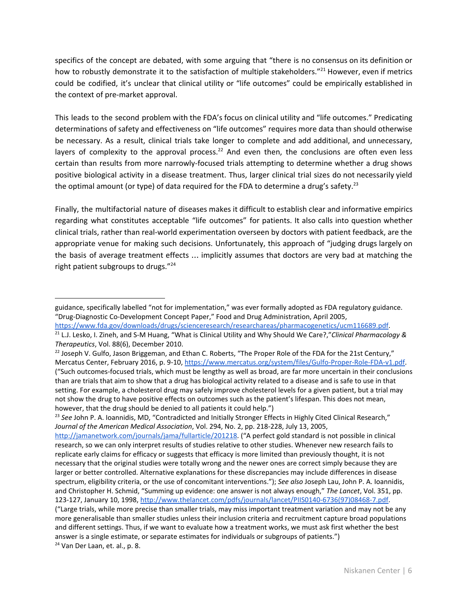specifics of the concept are debated, with some arguing that "there is no consensus on its definition or how to robustly demonstrate it to the satisfaction of multiple stakeholders."<sup>21</sup> However, even if metrics could be codified, it's unclear that clinical utility or "life outcomes" could be empirically established in the context of pre-market approval.

This leads to the second problem with the FDA's focus on clinical utility and "life outcomes." Predicating determinations of safety and effectiveness on "life outcomes" requires more data than should otherwise be necessary. As a result, clinical trials take longer to complete and add additional, and unnecessary, layers of complexity to the approval process.<sup>22</sup> And even then, the conclusions are often even less certain than results from more narrowly-focused trials attempting to determine whether a drug shows positive biological activity in a disease treatment. Thus, larger clinical trial sizes do not necessarily yield the optimal amount (or type) of data required for the FDA to determine a drug's safety.<sup>23</sup>

Finally, the multifactorial nature of diseases makes it difficult to establish clear and informative empirics regarding what constitutes acceptable "life outcomes" for patients. It also calls into question whether clinical trials, rather than real-world experimentation overseen by doctors with patient feedback, are the appropriate venue for making such decisions. Unfortunately, this approach of "judging drugs largely on the basis of average treatment effects … implicitly assumes that doctors are very bad at matching the right patient subgroups to drugs." 24

guidance, specifically labelled "not for implementation," was ever formally adopted as FDA regulatory guidance. "Drug-Diagnostic Co-Development Concept Paper," Food and Drug Administration, April 2005,

<https://www.fda.gov/downloads/drugs/scienceresearch/researchareas/pharmacogenetics/ucm116689.pdf>.

<sup>21</sup> L.J. Lesko, I. Zineh, and S-M Huang, "What is Clinical Utility and Why Should We Care?,"*Clinical Pharmacology & Therapeutics*, Vol. 88(6), December 2010.

 $^{22}$  Joseph V. Gulfo, Jason Briggeman, and Ethan C. Roberts, "The Proper Role of the FDA for the 21st Century," Mercatus Center, February 2016, p. 9-10, [https://www.mercatus.org/system/files/Gulfo-Proper-Role-FDA-v1.pdf.](https://www.mercatus.org/system/files/Gulfo-Proper-Role-FDA-v1.pdf) ("Such outcomes-focused trials, which must be lengthy as well as broad, are far more uncertain in their conclusions than are trials that aim to show that a drug has biological activity related to a disease and is safe to use in that setting. For example, a cholesterol drug may safely improve cholesterol levels for a given patient, but a trial may not show the drug to have positive effects on outcomes such as the patient's lifespan. This does not mean, however, that the drug should be denied to all patients it could help.")

<sup>23</sup> *See* John P. A. Ioannidis, MD, "Contradicted and Initially Stronger Effects in Highly Cited Clinical Research," *Journal of the American Medical Association*, Vol. 294, No. 2, pp. 218-228, July 13, 2005, <http://jamanetwork.com/journals/jama/fullarticle/201218>. ("A perfect gold standard is not possible in clinical research, so we can only interpret results of studies relative to other studies. Whenever new research fails to replicate early claims for efficacy or suggests that efficacy is more limited than previously thought, it is not necessary that the original studies were totally wrong and the newer ones are correct simply because they are larger or better controlled. Alternative explanations for these discrepancies may include differences in disease spectrum, eligibility criteria, or the use of concomitant interventions."); *See also* Joseph Lau, John P. A. Ioannidis, and Christopher H. Schmid, "Summing up evidence: one answer is not always enough," *The Lancet*, Vol. 351, pp. 123-127, January 10, 1998, [http://www.thelancet.com/pdfs/journals/lancet/PIIS0140-6736\(97\)08468-7.pdf](http://www.thelancet.com/pdfs/journals/lancet/PIIS0140-6736(97)08468-7.pdf). ("Large trials, while more precise than smaller trials, may miss important treatment variation and may not be any more generalisable than smaller studies unless their inclusion criteria and recruitment capture broad populations and different settings. Thus, if we want to evaluate how a treatment works, we must ask first whether the best answer is a single estimate, or separate estimates for individuals or subgroups of patients.") <sup>24</sup> Van Der Laan, et. al., p. 8.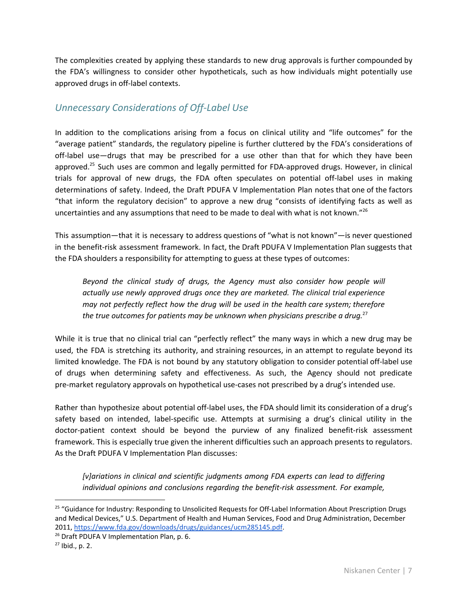The complexities created by applying these standards to new drug approvals is further compounded by the FDA's willingness to consider other hypotheticals, such as how individuals might potentially use approved drugs in off-label contexts.

#### *Unnecessary Considerations of Off-Label Use*

In addition to the complications arising from a focus on clinical utility and "life outcomes" for the "average patient" standards, the regulatory pipeline is further cluttered by the FDA's considerations of off-label use—drugs that may be prescribed for a use other than that for which they have been approved.<sup>25</sup> Such uses are common and legally permitted for FDA-approved drugs. However, in clinical trials for approval of new drugs, the FDA often speculates on potential off-label uses in making determinations of safety. Indeed, the Draft PDUFA V Implementation Plan notes that one of the factors "that inform the regulatory decision" to approve a new drug "consists of identifying facts as well as uncertainties and any assumptions that need to be made to deal with what is not known."<sup>26</sup>

This assumption—that it is necessary to address questions of "what is not known"—is never questioned in the benefit-risk assessment framework. In fact, the Draft PDUFA V Implementation Plan suggests that the FDA shoulders a responsibility for attempting to guess at these types of outcomes:

*Beyond the clinical study of drugs, the Agency must also consider how people will actually use newly approved drugs once they are marketed. The clinical trial experience may not perfectly reflect how the drug will be used in the health care system; therefore the true outcomes for patients may be unknown when physicians prescribe a drug.* 27

While it is true that no clinical trial can "perfectly reflect" the many ways in which a new drug may be used, the FDA is stretching its authority, and straining resources, in an attempt to regulate beyond its limited knowledge. The FDA is not bound by any statutory obligation to consider potential off-label use of drugs when determining safety and effectiveness. As such, the Agency should not predicate pre-market regulatory approvals on hypothetical use-cases not prescribed by a drug's intended use.

Rather than hypothesize about potential off-label uses, the FDA should limit its consideration of a drug's safety based on intended, label-specific use. Attempts at surmising a drug's clinical utility in the doctor-patient context should be beyond the purview of any finalized benefit-risk assessment framework. This is especially true given the inherent difficulties such an approach presents to regulators. As the Draft PDUFA V Implementation Plan discusses:

*[v]ariations in clinical and scientific judgments among FDA experts can lead to differing individual opinions and conclusions regarding the benefit-risk assessment. For example,*

<sup>&</sup>lt;sup>25</sup> "Guidance for Industry: Responding to Unsolicited Requests for Off-Label Information About Prescription Drugs and Medical Devices," U.S. Department of Health and Human Services, Food and Drug Administration, December 2011, [https://www.fda.gov/downloads/drugs/guidances/ucm285145.pdf.](https://www.fda.gov/downloads/drugs/guidances/ucm285145.pdf)

<sup>&</sup>lt;sup>26</sup> Draft PDUFA V Implementation Plan, p. 6.

 $27$  Ibid., p. 2.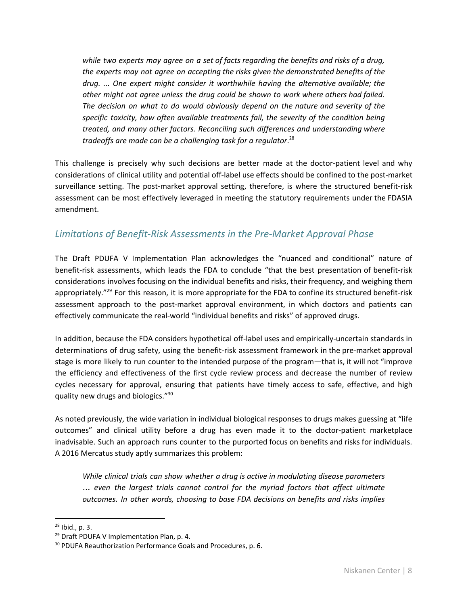*while two experts may agree on a set of facts regarding the benefits and risks of a drug, the experts may not agree on accepting the risks given the demonstrated benefits of the drug. ... One expert might consider it worthwhile having the alternative available; the other might not agree unless the drug could be shown to work where others had failed. The decision on what to do would obviously depend on the nature and severity of the specific toxicity, how often available treatments fail, the severity of the condition being treated, and many other factors. Reconciling such differences and understanding where tradeoffs are made can be a challenging task for a regulator*. 28

This challenge is precisely why such decisions are better made at the doctor-patient level and why considerations of clinical utility and potential off-label use effects should be confined to the post-market surveillance setting. The post-market approval setting, therefore, is where the structured benefit-risk assessment can be most effectively leveraged in meeting the statutory requirements under the FDASIA amendment.

### *Limitations of Benefit-Risk Assessments in the Pre-Market Approval Phase*

The Draft PDUFA V Implementation Plan acknowledges the "nuanced and conditional" nature of benefit-risk assessments, which leads the FDA to conclude "that the best presentation of benefit-risk considerations involves focusing on the individual benefits and risks, their frequency, and weighing them appropriately."<sup>29</sup> For this reason, it is more appropriate for the FDA to confine its structured benefit-risk assessment approach to the post-market approval environment, in which doctors and patients can effectively communicate the real-world "individual benefits and risks" of approved drugs.

In addition, because the FDA considers hypothetical off-label uses and empirically-uncertain standards in determinations of drug safety, using the benefit-risk assessment framework in the pre-market approval stage is more likely to run counter to the intended purpose of the program—that is, it will not "improve the efficiency and effectiveness of the first cycle review process and decrease the number of review cycles necessary for approval, ensuring that patients have timely access to safe, effective, and high quality new drugs and biologics."<sup>30</sup>

As noted previously, the wide variation in individual biological responses to drugs makes guessing at "life outcomes" and clinical utility before a drug has even made it to the doctor-patient marketplace inadvisable. Such an approach runs counter to the purported focus on benefits and risks for individuals. A 2016 Mercatus study aptly summarizes this problem:

*While clinical trials can show whether a drug is active in modulating disease parameters* … *even the largest trials cannot control for the myriad factors that affect ultimate outcomes. In other words, choosing to base FDA decisions on benefits and risks implies*

<sup>28</sup> Ibid., p. 3.

<sup>&</sup>lt;sup>29</sup> Draft PDUFA V Implementation Plan, p. 4.

<sup>&</sup>lt;sup>30</sup> PDUFA Reauthorization Performance Goals and Procedures, p. 6.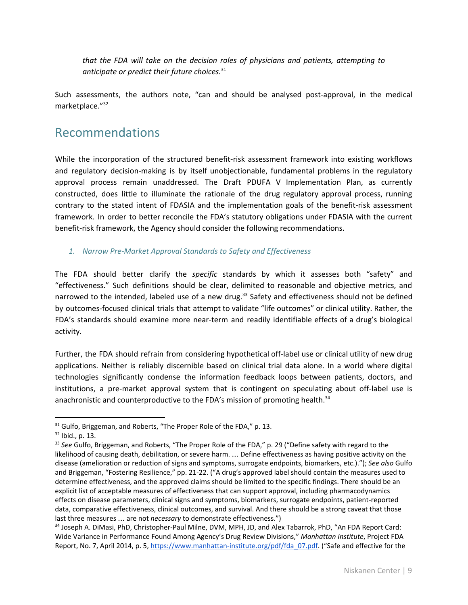*that the FDA will take on the decision roles of physicians and patients, attempting to anticipate or predict their future choices.* 31

Such assessments, the authors note, "can and should be analysed post-approval, in the medical marketplace." 32

### Recommendations

While the incorporation of the structured benefit-risk assessment framework into existing workflows and regulatory decision-making is by itself unobjectionable, fundamental problems in the regulatory approval process remain unaddressed. The Draft PDUFA V Implementation Plan, as currently constructed, does little to illuminate the rationale of the drug regulatory approval process, running contrary to the stated intent of FDASIA and the implementation goals of the benefit-risk assessment framework. In order to better reconcile the FDA's statutory obligations under FDASIA with the current benefit-risk framework, the Agency should consider the following recommendations.

*1. Narrow Pre-Market Approval Standards to Safety and Effectiveness*

The FDA should better clarify the *specific* standards by which it assesses both "safety" and "effectiveness." Such definitions should be clear, delimited to reasonable and objective metrics, and narrowed to the intended, labeled use of a new drug.<sup>33</sup> Safety and effectiveness should not be defined by outcomes-focused clinical trials that attempt to validate "life outcomes" or clinical utility. Rather, the FDA's standards should examine more near-term and readily identifiable effects of a drug's biological activity.

Further, the FDA should refrain from considering hypothetical off-label use or clinical utility of new drug applications. Neither is reliably discernible based on clinical trial data alone. In a world where digital technologies significantly condense the information feedback loops between patients, doctors, and institutions, a pre-market approval system that is contingent on speculating about off-label use is anachronistic and counterproductive to the FDA's mission of promoting health.<sup>34</sup>

 $31$  Gulfo, Briggeman, and Roberts, "The Proper Role of the FDA," p. 13.

<sup>32</sup> Ibid., p. 13.

<sup>33</sup> *See* Gulfo, Briggeman, and Roberts, "The Proper Role of the FDA," p. 29 ("Define safety with regard to the likelihood of causing death, debilitation, or severe harm. … Define effectiveness as having positive activity on the disease (amelioration or reduction of signs and symptoms, surrogate endpoints, biomarkers, etc.)."); *See also* Gulfo and Briggeman, "Fostering Resilience," pp. 21-22. ("A drug's approved label should contain the measures used to determine effectiveness, and the approved claims should be limited to the specific findings. There should be an explicit list of acceptable measures of effectiveness that can support approval, including pharmacodynamics effects on disease parameters, clinical signs and symptoms, biomarkers, surrogate endpoints, patient-reported data, comparative effectiveness, clinical outcomes, and survival. And there should be a strong caveat that those last three measures … are not *necessary* to demonstrate effectiveness.")

<sup>34</sup> Joseph A. DiMasi, PhD, Christopher-Paul Milne, DVM, MPH, JD, and Alex Tabarrok, PhD, "An FDA Report Card: Wide Variance in Performance Found Among Agency's Drug Review Divisions," *Manhattan Institute*, Project FDA Report, No. 7, April 2014, p. 5, [https://www.manhattan-institute.org/pdf/fda\\_07.pdf.](https://www.manhattan-institute.org/pdf/fda_07.pdf) ("Safe and effective for the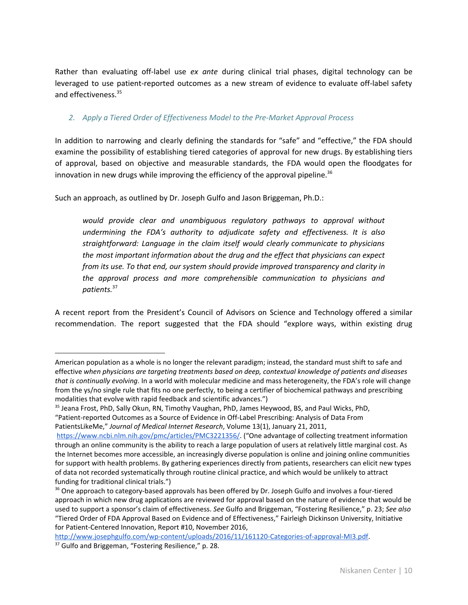Rather than evaluating off-label use *ex ante* during clinical trial phases, digital technology can be leveraged to use patient-reported outcomes as a new stream of evidence to evaluate off-label safety and effectiveness. 35

#### *2. Apply a Tiered Order of Effectiveness Model to the Pre-Market Approval Process*

In addition to narrowing and clearly defining the standards for "safe" and "effective," the FDA should examine the possibility of establishing tiered categories of approval for new drugs. By establishing tiers of approval, based on objective and measurable standards, the FDA would open the floodgates for innovation in new drugs while improving the efficiency of the approval pipeline.<sup>36</sup>

Such an approach, as outlined by Dr. Joseph Gulfo and Jason Briggeman, Ph.D.:

*would provide clear and unambiguous regulatory pathways to approval without undermining the FDA's authority to adjudicate safety and effectiveness. It is also straightforward: Language in the claim itself would clearly communicate to physicians the most important information about the drug and the effect that physicians can expect from its use. To that end, our system should provide improved transparency and clarity in the approval process and more comprehensible communication to physicians and patients.* 37

A recent report from the President's Council of Advisors on Science and Technology offered a similar recommendation. The report suggested that the FDA should "explore ways, within existing drug

American population as a whole is no longer the relevant paradigm; instead, the standard must shift to safe and effective *when physicians are targeting treatments based on deep, contextual knowledge of patients and diseases that is continually evolving*. In a world with molecular medicine and mass heterogeneity, the FDA's role will change from the ys/no single rule that fits no one perfectly, to being a certifier of biochemical pathways and prescribing modalities that evolve with rapid feedback and scientific advances.")

<sup>&</sup>lt;sup>35</sup> Jeana Frost, PhD, Sally Okun, RN, Timothy Vaughan, PhD, James Heywood, BS, and Paul Wicks, PhD,

<sup>&</sup>quot;Patient-reported Outcomes as a Source of Evidence in Off-Label Prescribing: Analysis of Data From PatientsLikeMe," *Journal of Medical Internet Research*, Volume 13(1), January 21, 2011,

[https://www.ncbi.nlm.nih.gov/pmc/articles/PMC3221356/.](https://www.ncbi.nlm.nih.gov/pmc/articles/PMC3221356/) ("One advantage of collecting treatment information through an online community is the ability to reach a large population of users at relatively little marginal cost. As the Internet becomes more accessible, an increasingly diverse population is online and joining online communities for support with health problems. By gathering experiences directly from patients, researchers can elicit new types of data not recorded systematically through routine clinical practice, and which would be unlikely to attract funding for traditional clinical trials.")

<sup>&</sup>lt;sup>36</sup> One approach to category-based approvals has been offered by Dr. Joseph Gulfo and involves a four-tiered approach in which new drug applications are reviewed for approval based on the nature of evidence that would be used to support a sponsor's claim of effectiveness. *See* Gulfo and Briggeman, "Fostering Resilience," p. 23; *See also* "Tiered Order of FDA Approval Based on Evidence and of Effectiveness," Fairleigh Dickinson University, Initiative for Patient-Centered Innovation, Report #10, November 2016,

[http://www.josephgulfo.com/wp-content/uploads/2016/11/161120-Categories-of-approval-MI3.pdf.](http://www.josephgulfo.com/wp-content/uploads/2016/11/161120-Categories-of-approval-MI3.pdf)

<sup>&</sup>lt;sup>37</sup> Gulfo and Briggeman, "Fostering Resilience," p. 28.